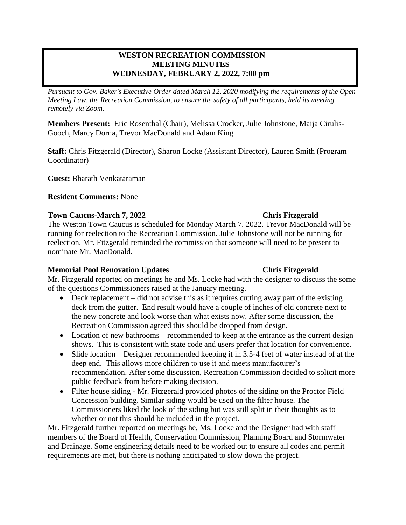# **WESTON RECREATION COMMISSION MEETING MINUTES WEDNESDAY, FEBRUARY 2, 2022, 7:00 pm**

*Pursuant to Gov. Baker's Executive Order dated March 12, 2020 modifying the requirements of the Open Meeting Law, the Recreation Commission, to ensure the safety of all participants, held its meeting remotely via Zoom.*

**Members Present:** Eric Rosenthal (Chair), Melissa Crocker, Julie Johnstone, Maija Cirulis-Gooch, Marcy Dorna, Trevor MacDonald and Adam King

**Staff:** Chris Fitzgerald (Director), Sharon Locke (Assistant Director), Lauren Smith (Program Coordinator)

**Guest:** Bharath Venkataraman

## **Resident Comments:** None

### **Town Caucus-March 7, 2022 Chris Fitzgerald**

The Weston Town Caucus is scheduled for Monday March 7, 2022. Trevor MacDonald will be running for reelection to the Recreation Commission. Julie Johnstone will not be running for reelection. Mr. Fitzgerald reminded the commission that someone will need to be present to nominate Mr. MacDonald.

## **Memorial Pool Renovation Updates Chris Fitzgerald**

Mr. Fitzgerald reported on meetings he and Ms. Locke had with the designer to discuss the some of the questions Commissioners raised at the January meeting.

- Deck replacement did not advise this as it requires cutting away part of the existing deck from the gutter. End result would have a couple of inches of old concrete next to the new concrete and look worse than what exists now. After some discussion, the Recreation Commission agreed this should be dropped from design.
- Location of new bathrooms recommended to keep at the entrance as the current design shows. This is consistent with state code and users prefer that location for convenience.
- Slide location Designer recommended keeping it in 3.5-4 feet of water instead of at the deep end. This allows more children to use it and meets manufacturer's recommendation. After some discussion, Recreation Commission decided to solicit more public feedback from before making decision.
- Filter house siding Mr. Fitzgerald provided photos of the siding on the Proctor Field Concession building. Similar siding would be used on the filter house. The Commissioners liked the look of the siding but was still split in their thoughts as to whether or not this should be included in the project.

Mr. Fitzgerald further reported on meetings he, Ms. Locke and the Designer had with staff members of the Board of Health, Conservation Commission, Planning Board and Stormwater and Drainage. Some engineering details need to be worked out to ensure all codes and permit requirements are met, but there is nothing anticipated to slow down the project.